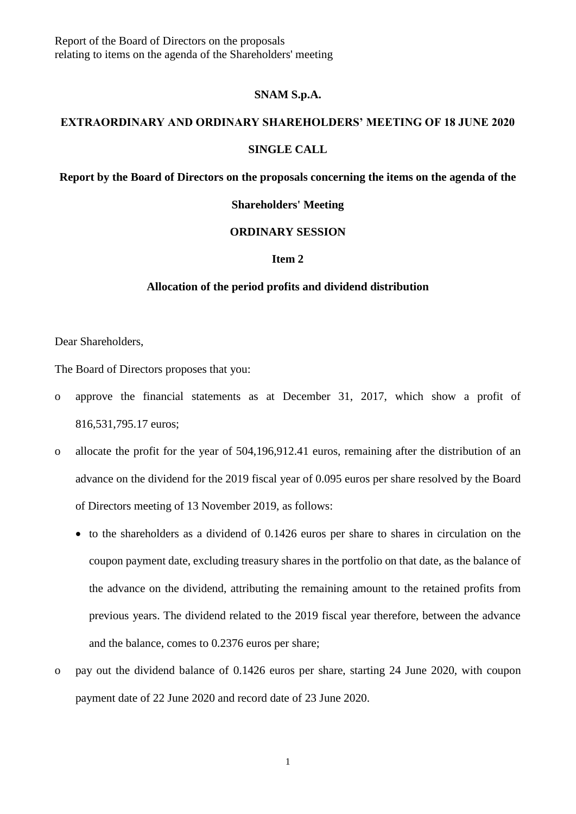Report of the Board of Directors on the proposals relating to items on the agenda of the Shareholders' meeting

#### **SNAM S.p.A.**

## **EXTRAORDINARY AND ORDINARY SHAREHOLDERS' MEETING OF 18 JUNE 2020**

#### **SINGLE CALL**

**Report by the Board of Directors on the proposals concerning the items on the agenda of the** 

### **Shareholders' Meeting**

### **ORDINARY SESSION**

### **Item 2**

#### **Allocation of the period profits and dividend distribution**

Dear Shareholders,

The Board of Directors proposes that you:

- o approve the financial statements as at December 31, 2017, which show a profit of 816,531,795.17 euros;
- o allocate the profit for the year of 504,196,912.41 euros, remaining after the distribution of an advance on the dividend for the 2019 fiscal year of 0.095 euros per share resolved by the Board of Directors meeting of 13 November 2019, as follows:
	- to the shareholders as a dividend of 0.1426 euros per share to shares in circulation on the coupon payment date, excluding treasury shares in the portfolio on that date, as the balance of the advance on the dividend, attributing the remaining amount to the retained profits from previous years. The dividend related to the 2019 fiscal year therefore, between the advance and the balance, comes to 0.2376 euros per share;
- o pay out the dividend balance of 0.1426 euros per share, starting 24 June 2020, with coupon payment date of 22 June 2020 and record date of 23 June 2020.